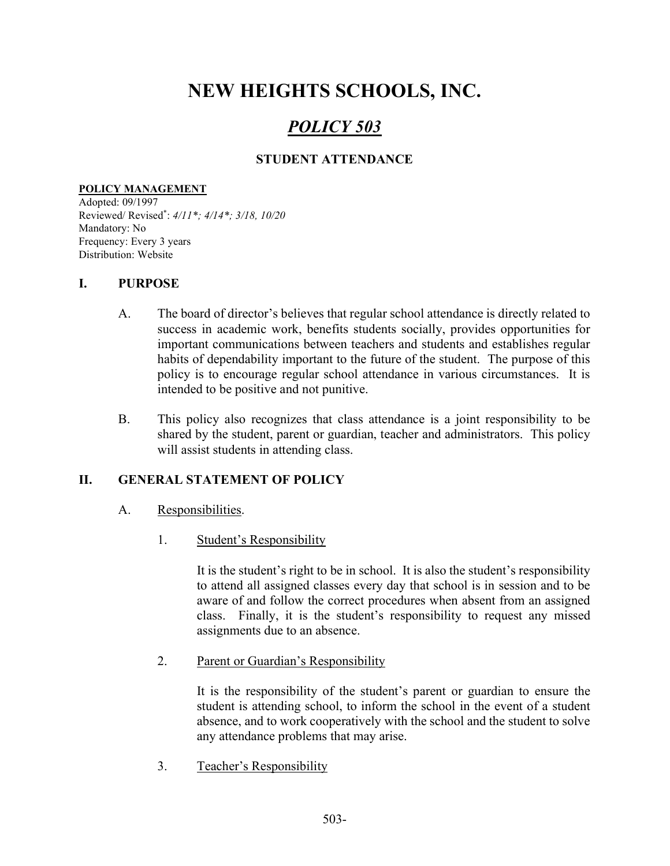# NEW HEIGHTS SCHOOLS, INC.

## POLICY 503

## STUDENT ATTENDANCE

#### POLICY MANAGEMENT

Adopted: 09/1997 Reviewed/ Revised\* : 4/11\*; 4/14\*; 3/18, 10/20 Mandatory: No Frequency: Every 3 years Distribution: Website

## I. PURPOSE

- A. The board of director's believes that regular school attendance is directly related to success in academic work, benefits students socially, provides opportunities for important communications between teachers and students and establishes regular habits of dependability important to the future of the student. The purpose of this policy is to encourage regular school attendance in various circumstances. It is intended to be positive and not punitive.
- B. This policy also recognizes that class attendance is a joint responsibility to be shared by the student, parent or guardian, teacher and administrators. This policy will assist students in attending class.

## II. GENERAL STATEMENT OF POLICY

- A. Responsibilities.
	- 1. Student's Responsibility

It is the student's right to be in school. It is also the student's responsibility to attend all assigned classes every day that school is in session and to be aware of and follow the correct procedures when absent from an assigned class. Finally, it is the student's responsibility to request any missed assignments due to an absence.

2. Parent or Guardian's Responsibility

It is the responsibility of the student's parent or guardian to ensure the student is attending school, to inform the school in the event of a student absence, and to work cooperatively with the school and the student to solve any attendance problems that may arise.

3. Teacher's Responsibility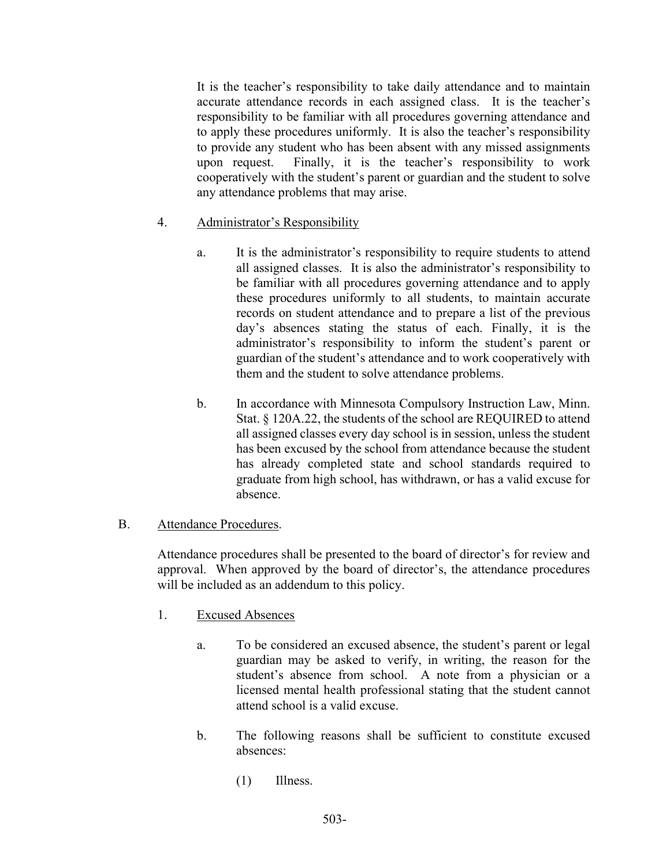It is the teacher's responsibility to take daily attendance and to maintain accurate attendance records in each assigned class. It is the teacher's responsibility to be familiar with all procedures governing attendance and to apply these procedures uniformly. It is also the teacher's responsibility to provide any student who has been absent with any missed assignments upon request. Finally, it is the teacher's responsibility to work cooperatively with the student's parent or guardian and the student to solve any attendance problems that may arise.

#### 4. Administrator's Responsibility

- a. It is the administrator's responsibility to require students to attend all assigned classes. It is also the administrator's responsibility to be familiar with all procedures governing attendance and to apply these procedures uniformly to all students, to maintain accurate records on student attendance and to prepare a list of the previous day's absences stating the status of each. Finally, it is the administrator's responsibility to inform the student's parent or guardian of the student's attendance and to work cooperatively with them and the student to solve attendance problems.
- b. In accordance with Minnesota Compulsory Instruction Law, Minn. Stat. § 120A.22, the students of the school are REQUIRED to attend all assigned classes every day school is in session, unless the student has been excused by the school from attendance because the student has already completed state and school standards required to graduate from high school, has withdrawn, or has a valid excuse for absence.

#### B. Attendance Procedures.

Attendance procedures shall be presented to the board of director's for review and approval. When approved by the board of director's, the attendance procedures will be included as an addendum to this policy.

## 1. Excused Absences

- a. To be considered an excused absence, the student's parent or legal guardian may be asked to verify, in writing, the reason for the student's absence from school. A note from a physician or a licensed mental health professional stating that the student cannot attend school is a valid excuse.
- b. The following reasons shall be sufficient to constitute excused absences:
	- (1) Illness.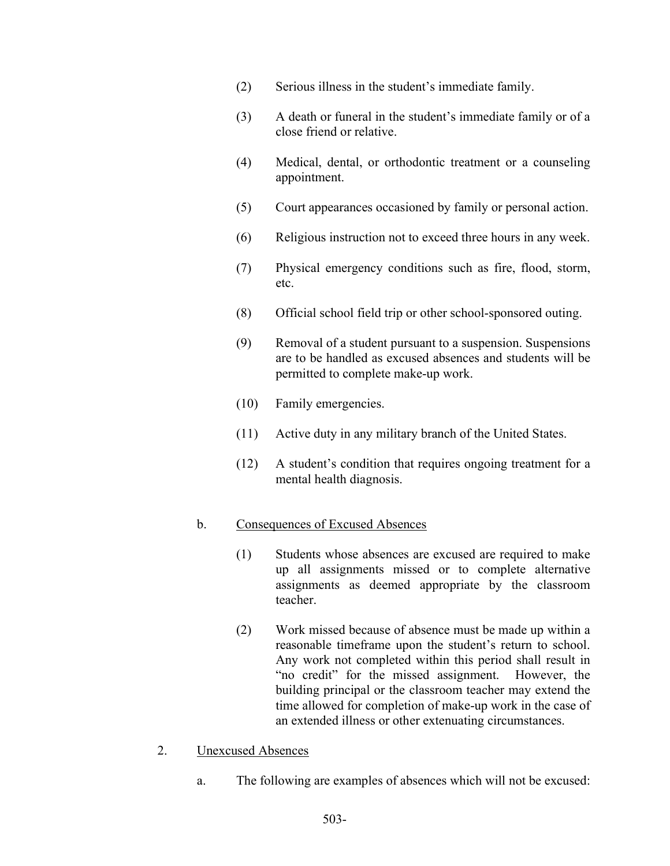- (2) Serious illness in the student's immediate family.
- (3) A death or funeral in the student's immediate family or of a close friend or relative.
- (4) Medical, dental, or orthodontic treatment or a counseling appointment.
- (5) Court appearances occasioned by family or personal action.
- (6) Religious instruction not to exceed three hours in any week.
- (7) Physical emergency conditions such as fire, flood, storm, etc.
- (8) Official school field trip or other school-sponsored outing.
- (9) Removal of a student pursuant to a suspension. Suspensions are to be handled as excused absences and students will be permitted to complete make-up work.
- (10) Family emergencies.
- (11) Active duty in any military branch of the United States.
- (12) A student's condition that requires ongoing treatment for a mental health diagnosis.

#### b. Consequences of Excused Absences

- (1) Students whose absences are excused are required to make up all assignments missed or to complete alternative assignments as deemed appropriate by the classroom teacher.
- (2) Work missed because of absence must be made up within a reasonable timeframe upon the student's return to school. Any work not completed within this period shall result in "no credit" for the missed assignment. However, the building principal or the classroom teacher may extend the time allowed for completion of make-up work in the case of an extended illness or other extenuating circumstances.
- 2. Unexcused Absences
	- a. The following are examples of absences which will not be excused: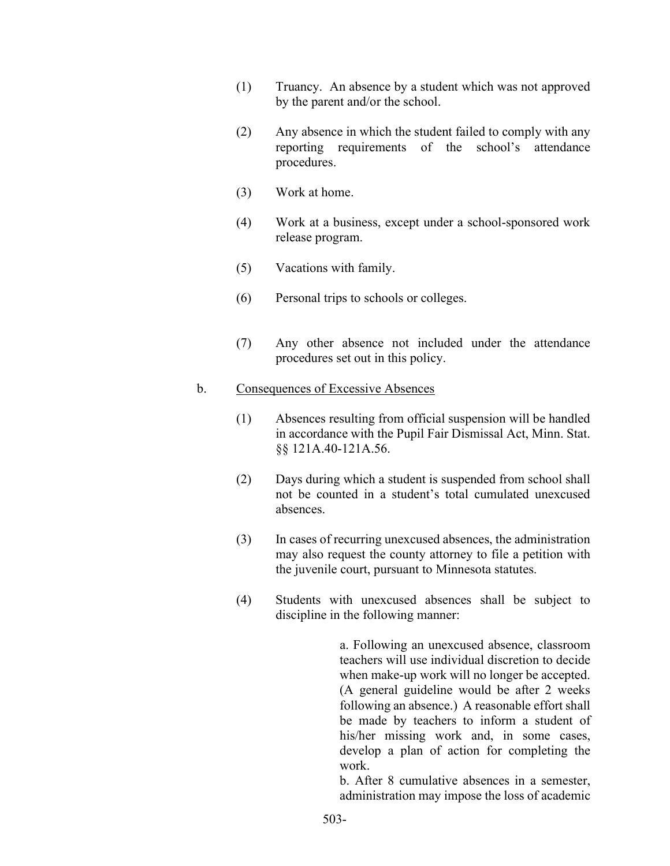- (1) Truancy. An absence by a student which was not approved by the parent and/or the school.
- (2) Any absence in which the student failed to comply with any reporting requirements of the school's attendance procedures.
- (3) Work at home.
- (4) Work at a business, except under a school-sponsored work release program.
- (5) Vacations with family.
- (6) Personal trips to schools or colleges.
- (7) Any other absence not included under the attendance procedures set out in this policy.

#### b. Consequences of Excessive Absences

- (1) Absences resulting from official suspension will be handled in accordance with the Pupil Fair Dismissal Act, Minn. Stat. §§ 121A.40-121A.56.
- (2) Days during which a student is suspended from school shall not be counted in a student's total cumulated unexcused absences.
- (3) In cases of recurring unexcused absences, the administration may also request the county attorney to file a petition with the juvenile court, pursuant to Minnesota statutes.
- (4) Students with unexcused absences shall be subject to discipline in the following manner:

 a. Following an unexcused absence, classroom teachers will use individual discretion to decide when make-up work will no longer be accepted. (A general guideline would be after 2 weeks following an absence.) A reasonable effort shall be made by teachers to inform a student of his/her missing work and, in some cases, develop a plan of action for completing the work.

b. After 8 cumulative absences in a semester, administration may impose the loss of academic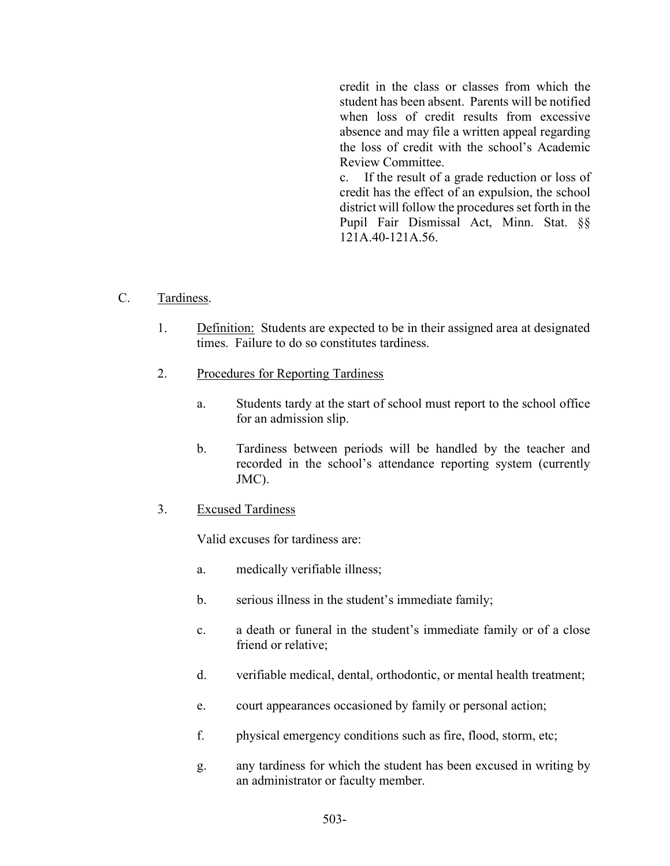credit in the class or classes from which the student has been absent. Parents will be notified when loss of credit results from excessive absence and may file a written appeal regarding the loss of credit with the school's Academic Review Committee.

 c. If the result of a grade reduction or loss of credit has the effect of an expulsion, the school district will follow the procedures set forth in the Pupil Fair Dismissal Act, Minn. Stat. §§ 121A.40-121A.56.

- C. Tardiness.
	- 1. Definition: Students are expected to be in their assigned area at designated times. Failure to do so constitutes tardiness.
	- 2. Procedures for Reporting Tardiness
		- a. Students tardy at the start of school must report to the school office for an admission slip.
		- b. Tardiness between periods will be handled by the teacher and recorded in the school's attendance reporting system (currently JMC).
	- 3. Excused Tardiness

Valid excuses for tardiness are:

- a. medically verifiable illness;
- b. serious illness in the student's immediate family;
- c. a death or funeral in the student's immediate family or of a close friend or relative;
- d. verifiable medical, dental, orthodontic, or mental health treatment;
- e. court appearances occasioned by family or personal action;
- f. physical emergency conditions such as fire, flood, storm, etc;
- g. any tardiness for which the student has been excused in writing by an administrator or faculty member.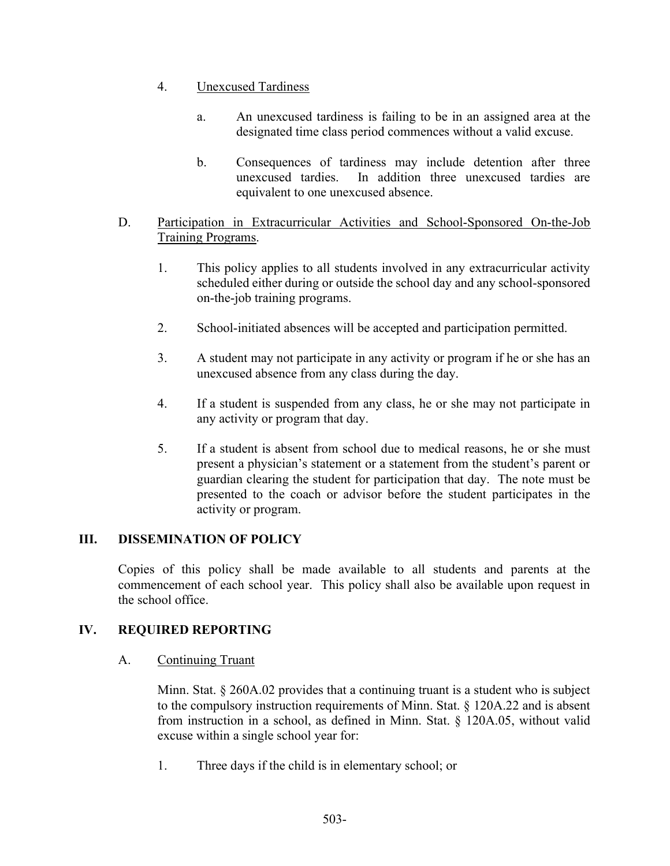- 4. Unexcused Tardiness
	- a. An unexcused tardiness is failing to be in an assigned area at the designated time class period commences without a valid excuse.
	- b. Consequences of tardiness may include detention after three unexcused tardies. In addition three unexcused tardies are equivalent to one unexcused absence.

## D. Participation in Extracurricular Activities and School-Sponsored On-the-Job Training Programs.

- 1. This policy applies to all students involved in any extracurricular activity scheduled either during or outside the school day and any school-sponsored on-the-job training programs.
- 2. School-initiated absences will be accepted and participation permitted.
- 3. A student may not participate in any activity or program if he or she has an unexcused absence from any class during the day.
- 4. If a student is suspended from any class, he or she may not participate in any activity or program that day.
- 5. If a student is absent from school due to medical reasons, he or she must present a physician's statement or a statement from the student's parent or guardian clearing the student for participation that day. The note must be presented to the coach or advisor before the student participates in the activity or program.

## III. DISSEMINATION OF POLICY

Copies of this policy shall be made available to all students and parents at the commencement of each school year. This policy shall also be available upon request in the school office.

## IV. REQUIRED REPORTING

#### A. Continuing Truant

 Minn. Stat. § 260A.02 provides that a continuing truant is a student who is subject to the compulsory instruction requirements of Minn. Stat. § 120A.22 and is absent from instruction in a school, as defined in Minn. Stat. § 120A.05, without valid excuse within a single school year for:

1. Three days if the child is in elementary school; or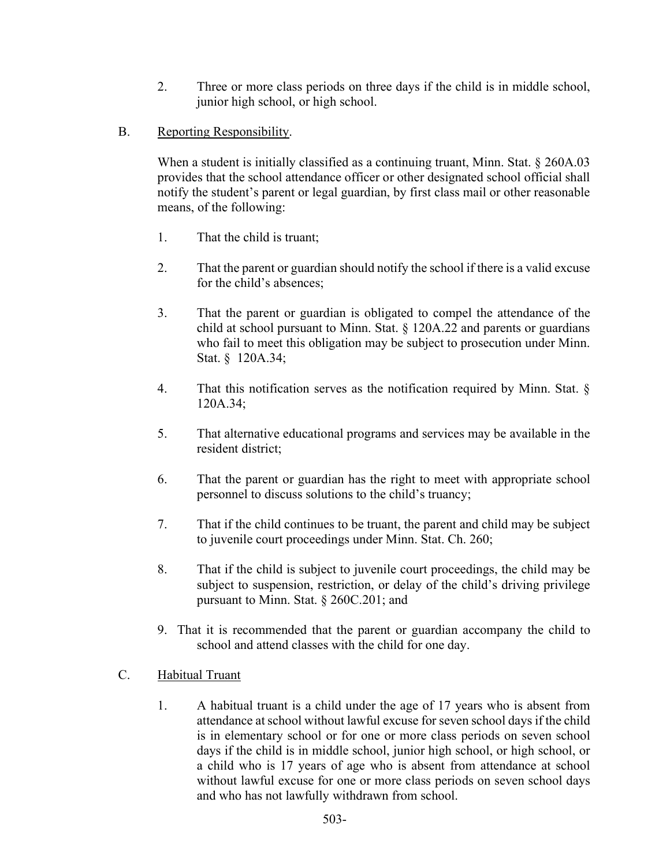- 2. Three or more class periods on three days if the child is in middle school, junior high school, or high school.
- B. Reporting Responsibility.

When a student is initially classified as a continuing truant, Minn. Stat. § 260A.03 provides that the school attendance officer or other designated school official shall notify the student's parent or legal guardian, by first class mail or other reasonable means, of the following:

- 1. That the child is truant;
- 2. That the parent or guardian should notify the school if there is a valid excuse for the child's absences;
- 3. That the parent or guardian is obligated to compel the attendance of the child at school pursuant to Minn. Stat. § 120A.22 and parents or guardians who fail to meet this obligation may be subject to prosecution under Minn. Stat. § 120A.34;
- 4. That this notification serves as the notification required by Minn. Stat. § 120A.34;
- 5. That alternative educational programs and services may be available in the resident district;
- 6. That the parent or guardian has the right to meet with appropriate school personnel to discuss solutions to the child's truancy;
- 7. That if the child continues to be truant, the parent and child may be subject to juvenile court proceedings under Minn. Stat. Ch. 260;
- 8. That if the child is subject to juvenile court proceedings, the child may be subject to suspension, restriction, or delay of the child's driving privilege pursuant to Minn. Stat. § 260C.201; and
- 9. That it is recommended that the parent or guardian accompany the child to school and attend classes with the child for one day.
- C. Habitual Truant
	- 1. A habitual truant is a child under the age of 17 years who is absent from attendance at school without lawful excuse for seven school days if the child is in elementary school or for one or more class periods on seven school days if the child is in middle school, junior high school, or high school, or a child who is 17 years of age who is absent from attendance at school without lawful excuse for one or more class periods on seven school days and who has not lawfully withdrawn from school.